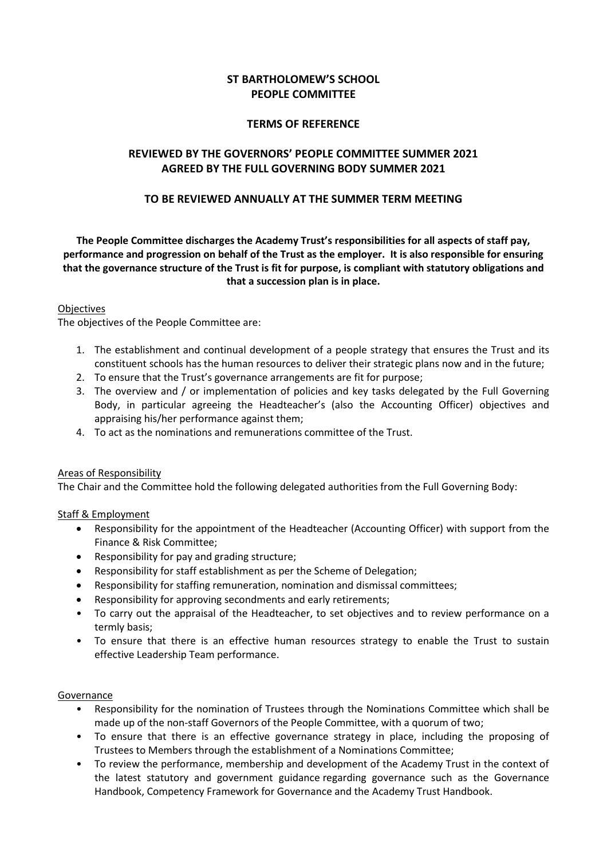# **ST BARTHOLOMEW'S SCHOOL PEOPLE COMMITTEE**

### **TERMS OF REFERENCE**

# **REVIEWED BY THE GOVERNORS' PEOPLE COMMITTEE SUMMER 2021 AGREED BY THE FULL GOVERNING BODY SUMMER 2021**

### **TO BE REVIEWED ANNUALLY AT THE SUMMER TERM MEETING**

**The People Committee discharges the Academy Trust's responsibilities for all aspects of staff pay, performance and progression on behalf of the Trust as the employer. It is also responsible for ensuring that the governance structure of the Trust is fit for purpose, is compliant with statutory obligations and that a succession plan is in place.**

### Objectives

The objectives of the People Committee are:

- 1. The establishment and continual development of a people strategy that ensures the Trust and its constituent schools has the human resources to deliver their strategic plans now and in the future;
- 2. To ensure that the Trust's governance arrangements are fit for purpose;
- 3. The overview and / or implementation of policies and key tasks delegated by the Full Governing Body, in particular agreeing the Headteacher's (also the Accounting Officer) objectives and appraising his/her performance against them;
- 4. To act as the nominations and remunerations committee of the Trust.

#### Areas of Responsibility

The Chair and the Committee hold the following delegated authorities from the Full Governing Body:

#### Staff & Employment

- Responsibility for the appointment of the Headteacher (Accounting Officer) with support from the Finance & Risk Committee;
- Responsibility for pay and grading structure;
- Responsibility for staff establishment as per the Scheme of Delegation;
- Responsibility for staffing remuneration, nomination and dismissal committees;
- Responsibility for approving secondments and early retirements;
- To carry out the appraisal of the Headteacher, to set objectives and to review performance on a termly basis;
- To ensure that there is an effective human resources strategy to enable the Trust to sustain effective Leadership Team performance.

#### **Governance**

- Responsibility for the nomination of Trustees through the Nominations Committee which shall be made up of the non-staff Governors of the People Committee, with a quorum of two;
- To ensure that there is an effective governance strategy in place, including the proposing of Trustees to Members through the establishment of a Nominations Committee;
- To review the performance, membership and development of the Academy Trust in the context of the latest statutory and government guidance regarding governance such as the Governance Handbook, Competency Framework for Governance and the Academy Trust Handbook.